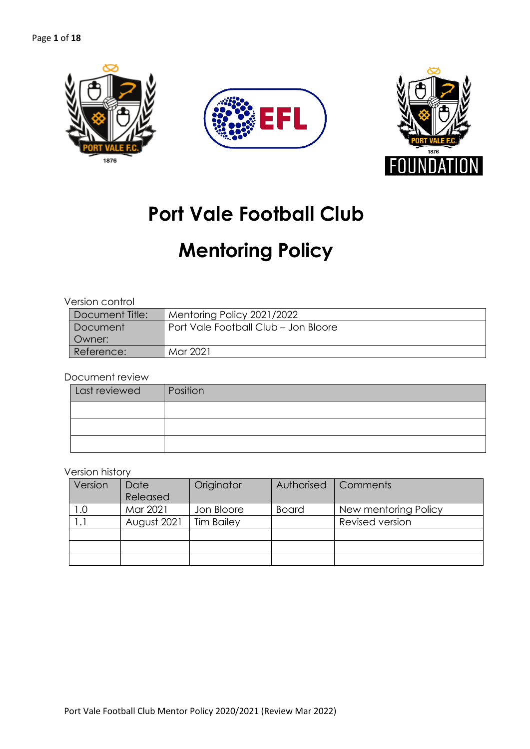



# **Port Vale Football Club**

# **Mentoring Policy**

### Version control

| Document Title: | Mentoring Policy 2021/2022           |
|-----------------|--------------------------------------|
| Document        | Port Vale Football Club - Jon Bloore |
| l Owner:        |                                      |
| Reference:      | Mar 2021                             |

#### Document review

| Last reviewed | Position |
|---------------|----------|
|               |          |
|               |          |
|               |          |

#### Version history

| Version | Date<br>Released | Originator        | Authorised   | Comments             |
|---------|------------------|-------------------|--------------|----------------------|
| 1.0     | Mar 2021         | Jon Bloore        | <b>Board</b> | New mentoring Policy |
| ا ۱     | August 2021      | <b>Tim Bailey</b> |              | Revised version      |
|         |                  |                   |              |                      |
|         |                  |                   |              |                      |
|         |                  |                   |              |                      |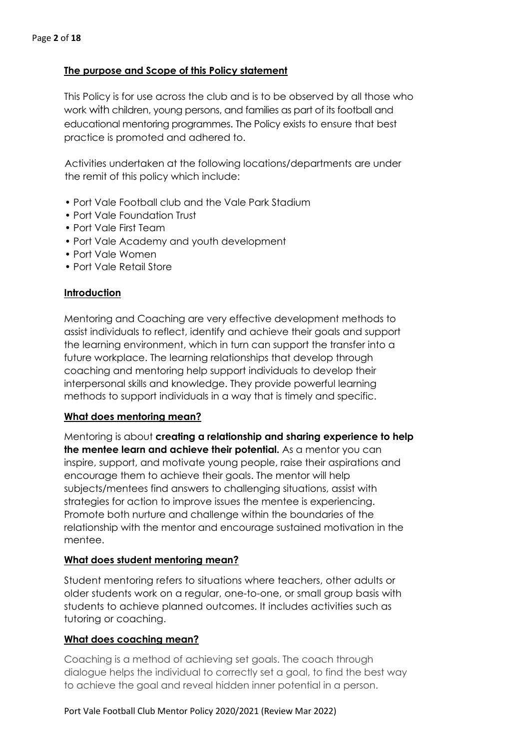# **The purpose and Scope of this Policy statement**

This Policy is for use across the club and is to be observed by all those who work with children, young persons, and families as part of its football and educational mentoring programmes. The Policy exists to ensure that best practice is promoted and adhered to.

Activities undertaken at the following locations/departments are under the remit of this policy which include:

- Port Vale Football club and the Vale Park Stadium
- Port Vale Foundation Trust
- Port Vale First Team
- Port Vale Academy and youth development
- Port Vale Women
- Port Vale Retail Store

# **Introduction**

Mentoring and Coaching are very effective development methods to assist individuals to reflect, identify and achieve their goals and support the learning environment, which in turn can support the transfer into a future workplace. The learning relationships that develop through coaching and mentoring help support individuals to develop their interpersonal skills and knowledge. They provide powerful learning methods to support individuals in a way that is timely and specific.

# **What does mentoring mean?**

Mentoring is about **creating a relationship and sharing experience to help the mentee learn and achieve their potential.** As a mentor you can inspire, support, and motivate young people, raise their aspirations and encourage them to achieve their goals. The mentor will help subjects/mentees find answers to challenging situations, assist with strategies for action to improve issues the mentee is experiencing. Promote both nurture and challenge within the boundaries of the relationship with the mentor and encourage sustained motivation in the mentee.

# **What does student mentoring mean?**

Student mentoring refers to situations where teachers, other adults or older students work on a regular, one-to-one, or small group basis with students to achieve planned outcomes. It includes activities such as tutoring or coaching.

# **What does coaching mean?**

Coaching is a method of achieving set goals. The coach through dialogue helps the individual to correctly set a goal, to find the best way to achieve the goal and reveal hidden inner potential in a person.

#### Port Vale Football Club Mentor Policy 2020/2021 (Review Mar 2022)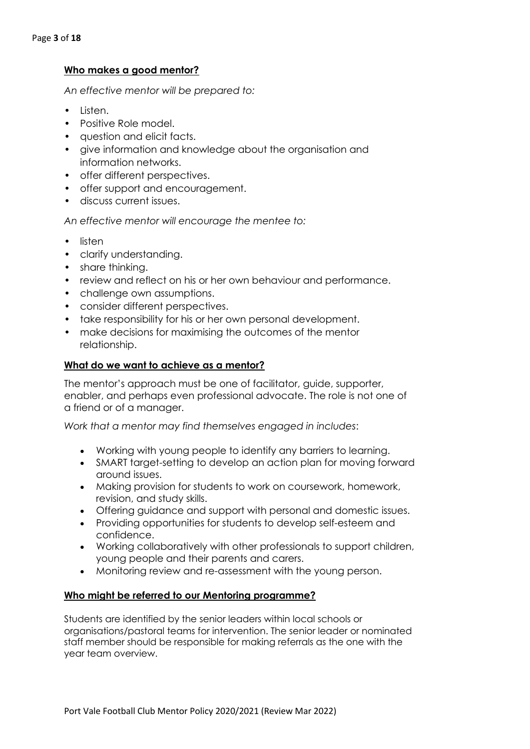# **Who makes a good mentor?**

*An effective mentor will be prepared to:*

- Listen.
- Positive Role model.
- question and elicit facts.
- give information and knowledge about the organisation and information networks.
- offer different perspectives.
- offer support and encouragement.
- discuss current issues.

*An effective mentor will encourage the mentee to:*

- listen
- clarify understanding.
- share thinking.
- review and reflect on his or her own behaviour and performance.
- challenge own assumptions.
- consider different perspectives.
- take responsibility for his or her own personal development.
- make decisions for maximising the outcomes of the mentor relationship.

#### **What do we want to achieve as a mentor?**

The mentor's approach must be one of facilitator, guide, supporter, enabler, and perhaps even professional advocate. The role is not one of a friend or of a manager.

*Work that a mentor may find themselves engaged in includes*:

- Working with young people to identify any barriers to learning.
- SMART target-setting to develop an action plan for moving forward around issues.
- Making provision for students to work on coursework, homework, revision, and study skills.
- Offering guidance and support with personal and domestic issues.
- Providing opportunities for students to develop self-esteem and confidence.
- Working collaboratively with other professionals to support children, young people and their parents and carers.
- Monitoring review and re-assessment with the young person.

#### **Who might be referred to our Mentoring programme?**

Students are identified by the senior leaders within local schools or organisations/pastoral teams for intervention. The senior leader or nominated staff member should be responsible for making referrals as the one with the year team overview.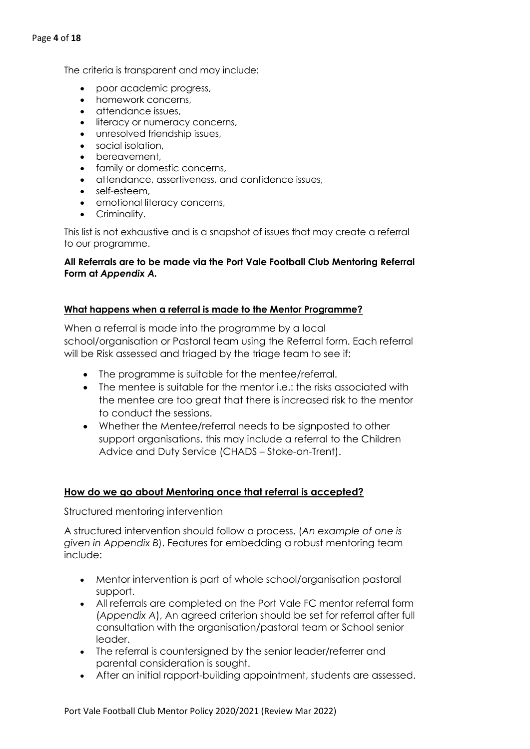The criteria is transparent and may include:

- poor academic progress,
- homework concerns,
- attendance issues,
- literacy or numeracy concerns,
- unresolved friendship issues,
- social isolation,
- bereavement,
- family or domestic concerns,
- attendance, assertiveness, and confidence issues,
- self-esteem,
- emotional literacy concerns,
- Criminality.

This list is not exhaustive and is a snapshot of issues that may create a referral to our programme.

#### **All Referrals are to be made via the Port Vale Football Club Mentoring Referral Form at** *Appendix A.*

#### **What happens when a referral is made to the Mentor Programme?**

When a referral is made into the programme by a local school/organisation or Pastoral team using the Referral form. Each referral will be Risk assessed and triaged by the triage team to see if:

- The programme is suitable for the mentee/referral.
- The mentee is suitable for the mentor i.e.: the risks associated with the mentee are too great that there is increased risk to the mentor to conduct the sessions.
- Whether the Mentee/referral needs to be signposted to other support organisations, this may include a referral to the Children Advice and Duty Service (CHADS – Stoke-on-Trent).

#### **How do we go about Mentoring once that referral is accepted?**

Structured mentoring intervention

A structured intervention should follow a process. (*An example of one is given in Appendix B*). Features for embedding a robust mentoring team include:

- Mentor intervention is part of whole school/organisation pastoral support.
- All referrals are completed on the Port Vale FC mentor referral form (*Appendix A*), An agreed criterion should be set for referral after full consultation with the organisation/pastoral team or School senior leader.
- The referral is countersigned by the senior leader/referrer and parental consideration is sought.
- After an initial rapport-building appointment, students are assessed.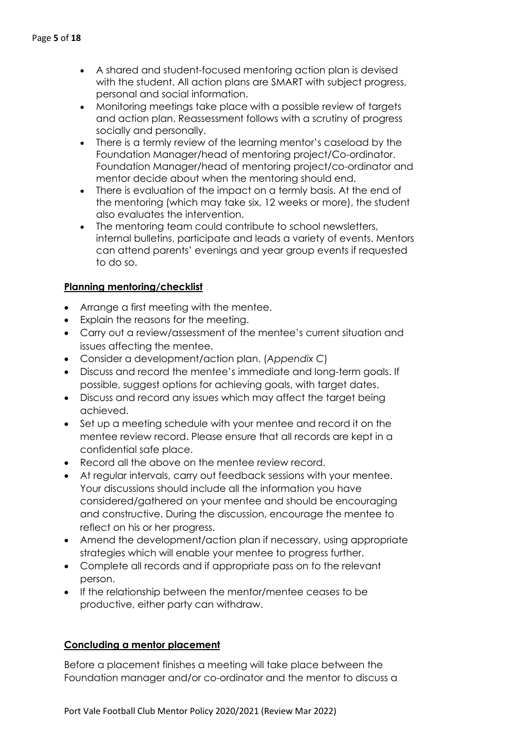- A shared and student-focused mentoring action plan is devised with the student. All action plans are SMART with subject progress, personal and social information.
- Monitoring meetings take place with a possible review of targets and action plan. Reassessment follows with a scrutiny of progress socially and personally.
- There is a termly review of the learning mentor's caseload by the Foundation Manager/head of mentoring project/Co-ordinator. Foundation Manager/head of mentoring project/co-ordinator and mentor decide about when the mentoring should end.
- There is evaluation of the impact on a termly basis. At the end of the mentoring (which may take six, 12 weeks or more), the student also evaluates the intervention.
- The mentoring team could contribute to school newsletters, internal bulletins, participate and leads a variety of events. Mentors can attend parents' evenings and year group events if requested to do so.

# **Planning mentoring/checklist**

- Arrange a first meeting with the mentee.
- Explain the reasons for the meeting.
- Carry out a review/assessment of the mentee's current situation and issues affecting the mentee.
- Consider a development/action plan. (*Appendix C*)
- Discuss and record the mentee's immediate and long-term goals. If possible, suggest options for achieving goals, with target dates.
- Discuss and record any issues which may affect the target being achieved.
- Set up a meeting schedule with your mentee and record it on the mentee review record. Please ensure that all records are kept in a confidential safe place.
- Record all the above on the mentee review record.
- At regular intervals, carry out feedback sessions with your mentee. Your discussions should include all the information you have considered/gathered on your mentee and should be encouraging and constructive. During the discussion, encourage the mentee to reflect on his or her progress.
- Amend the development/action plan if necessary, using appropriate strategies which will enable your mentee to progress further.
- Complete all records and if appropriate pass on to the relevant person.
- If the relationship between the mentor/mentee ceases to be productive, either party can withdraw.

# **Concluding a mentor placement**

Before a placement finishes a meeting will take place between the Foundation manager and/or co-ordinator and the mentor to discuss a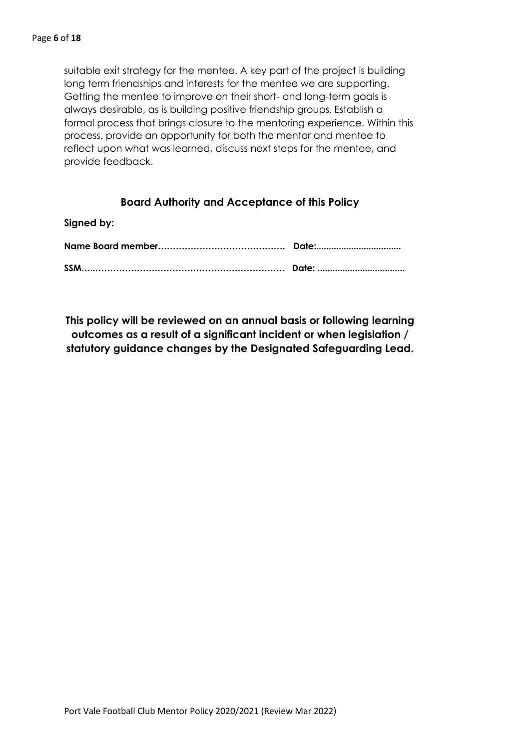suitable exit strategy for the mentee. A key part of the project is building long term friendships and interests for the mentee we are supporting. Getting the mentee to improve on their short- and long-term goals is always desirable, as is building positive friendship groups. Establish a formal process that brings closure to the mentoring experience. Within this process, provide an opportunity for both the mentor and mentee to reflect upon what was learned, discuss next steps for the mentee, and provide feedback.

# **Board Authority and Acceptance of this Policy**

| Signed by: |  |
|------------|--|
|            |  |

**This policy will be reviewed on an annual basis or following learning outcomes as a result of a significant incident or when legislation / statutory guidance changes by the Designated Safeguarding Lead.**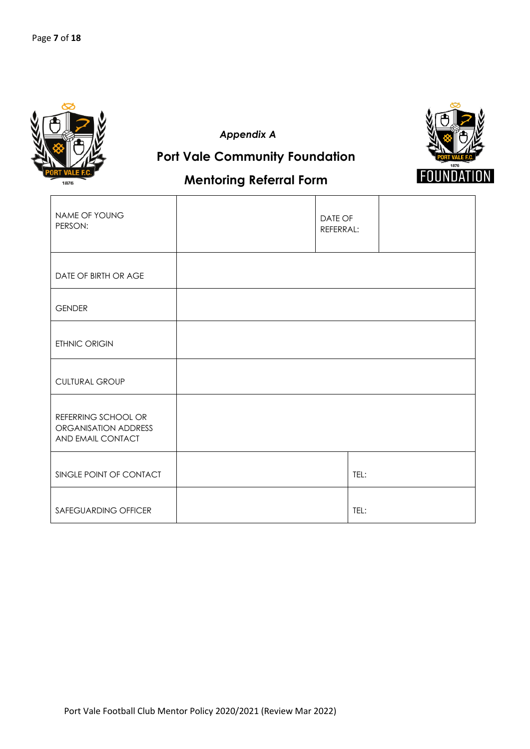

*Appendix A*



# **Mentoring Referral Form**

**Port Vale Community Foundation**

| NAME OF YOUNG<br>PERSON:                                         | DATE OF<br>REFERRAL: |  |
|------------------------------------------------------------------|----------------------|--|
| DATE OF BIRTH OR AGE                                             |                      |  |
| <b>GENDER</b>                                                    |                      |  |
| ETHNIC ORIGIN                                                    |                      |  |
| <b>CULTURAL GROUP</b>                                            |                      |  |
| REFERRING SCHOOL OR<br>ORGANISATION ADDRESS<br>AND EMAIL CONTACT |                      |  |
| SINGLE POINT OF CONTACT                                          | TEL:                 |  |
| SAFEGUARDING OFFICER                                             | TEL:                 |  |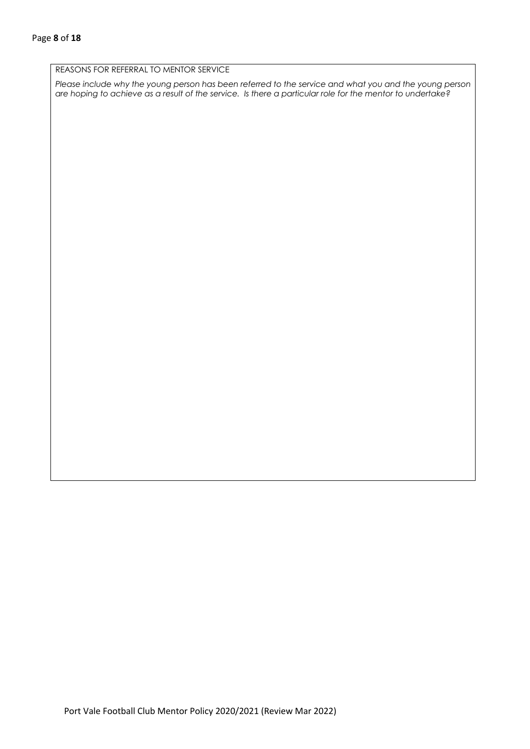#### REASONS FOR REFERRAL TO MENTOR SERVICE

*Please include why the young person has been referred to the service and what you and the young person are hoping to achieve as a result of the service. Is there a particular role for the mentor to undertake?*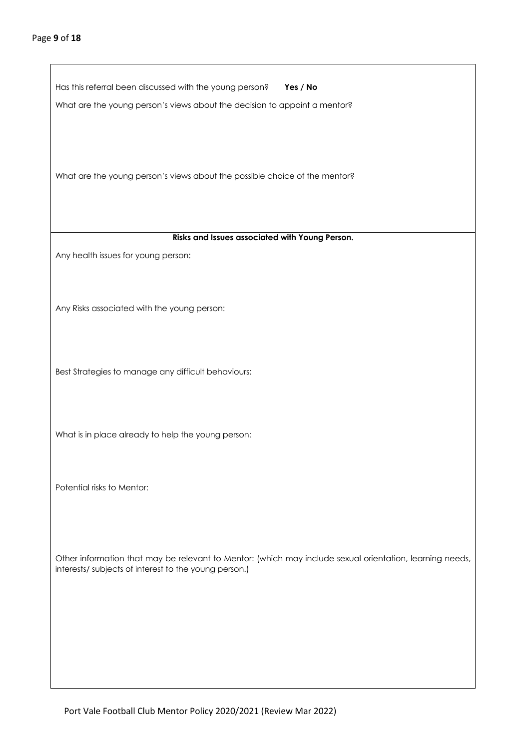$\mathbf{r}$ 

| Has this referral been discussed with the young person?<br>Yes / No                                                                                               |
|-------------------------------------------------------------------------------------------------------------------------------------------------------------------|
| What are the young person's views about the decision to appoint a mentor?                                                                                         |
| What are the young person's views about the possible choice of the mentor?                                                                                        |
| Risks and Issues associated with Young Person.                                                                                                                    |
| Any health issues for young person:                                                                                                                               |
| Any Risks associated with the young person:                                                                                                                       |
| Best Strategies to manage any difficult behaviours:                                                                                                               |
| What is in place already to help the young person:                                                                                                                |
| Potential risks to Mentor:                                                                                                                                        |
| Other information that may be relevant to Mentor: (which may include sexual orientation, learning needs,<br>interests/ subjects of interest to the young person.) |
|                                                                                                                                                                   |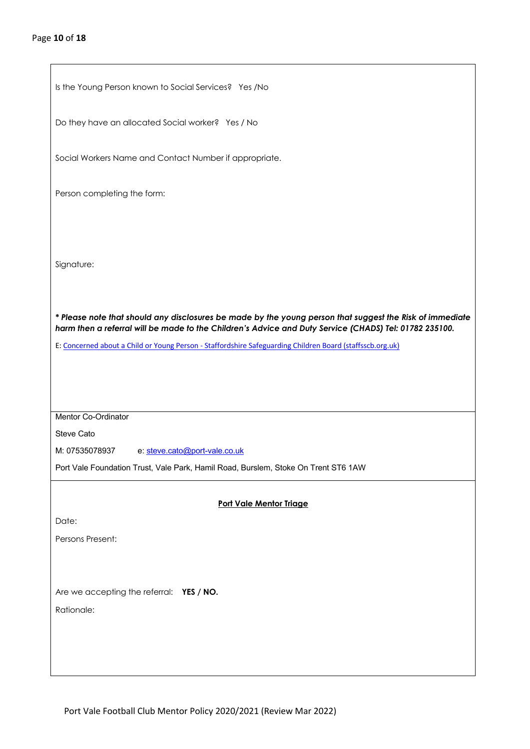| Is the Young Person known to Social Services? Yes /No                                                     |
|-----------------------------------------------------------------------------------------------------------|
| Do they have an allocated Social worker? Yes / No                                                         |
| Social Workers Name and Contact Number if appropriate.                                                    |
| Person completing the form:                                                                               |
|                                                                                                           |
| Signature:                                                                                                |
| * Please note that should any disclosures be made by the young person that suggest the Risk of immediate  |
| harm then a referral will be made to the Children's Advice and Duty Service (CHADS) Tel: 01782 235100.    |
| E: Concerned about a Child or Young Person - Staffordshire Safeguarding Children Board (staffsscb.org.uk) |
|                                                                                                           |
|                                                                                                           |
|                                                                                                           |
| Mentor Co-Ordinator                                                                                       |
| <b>Steve Cato</b>                                                                                         |
| M: 07535078937<br>e: steve.cato@port-vale.co.uk                                                           |
| Port Vale Foundation Trust, Vale Park, Hamil Road, Burslem, Stoke On Trent ST6 1AW                        |
|                                                                                                           |
| Port Vale Mentor Triage                                                                                   |
| Date:                                                                                                     |
| Persons Present:                                                                                          |
|                                                                                                           |
|                                                                                                           |
| Are we accepting the referral: YES / NO.                                                                  |
| Rationale:                                                                                                |
|                                                                                                           |
|                                                                                                           |
|                                                                                                           |
|                                                                                                           |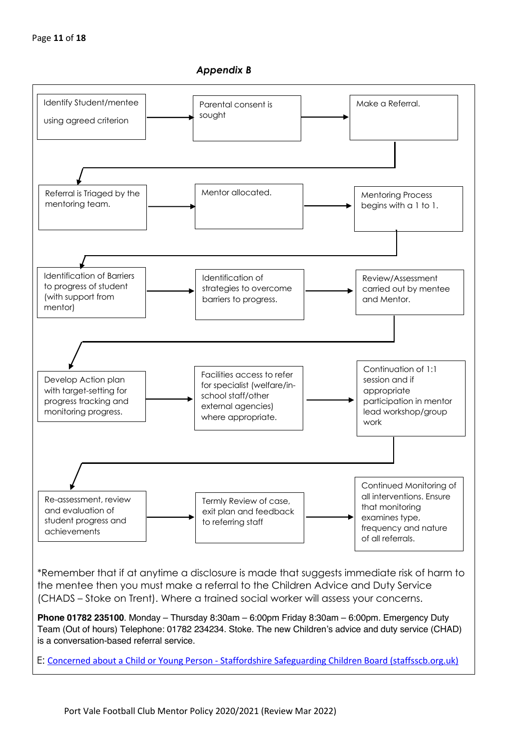



\*Remember that if at anytime a disclosure is made that suggests immediate risk of harm to the mentee then you must make a referral to the Children Advice and Duty Service (CHADS – Stoke on Trent). Where a trained social worker will assess your concerns.

**Phone 01782 235100**. Monday – Thursday 8:30am – 6:00pm Friday 8:30am – 6:00pm. Emergency Duty Team (Out of hours) Telephone: 01782 234234. Stoke. The new Children's advice and duty service (CHAD) is a conversation-based referral service.

E: Concerned about a Child or Young Person - Staffordshire Safeguarding Children Board (staffsscb.org.uk)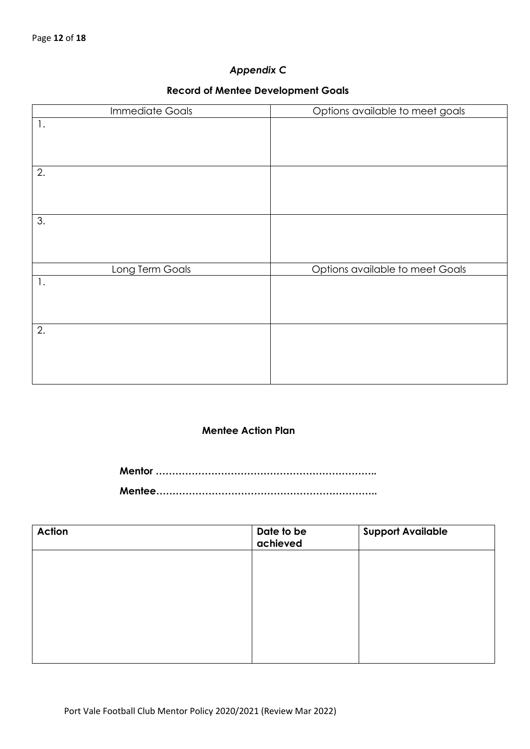# *Appendix C*

### **Record of Mentee Development Goals**

| <b>Immediate Goals</b> | Options available to meet goals |
|------------------------|---------------------------------|
| $\mathbf{1}$ .         |                                 |
|                        |                                 |
| 2.                     |                                 |
|                        |                                 |
| 3.                     |                                 |
|                        |                                 |
| Long Term Goals        | Options available to meet Goals |
| $\mathbf{1}$ .         |                                 |
| 2.                     |                                 |
|                        |                                 |

### **Mentee Action Plan**

 **Mentor ………………………………………………………….. Mentee…………………………………………………………..**

| <b>Action</b> | Date to be<br>achieved | <b>Support Available</b> |
|---------------|------------------------|--------------------------|
|               |                        |                          |
|               |                        |                          |
|               |                        |                          |
|               |                        |                          |
|               |                        |                          |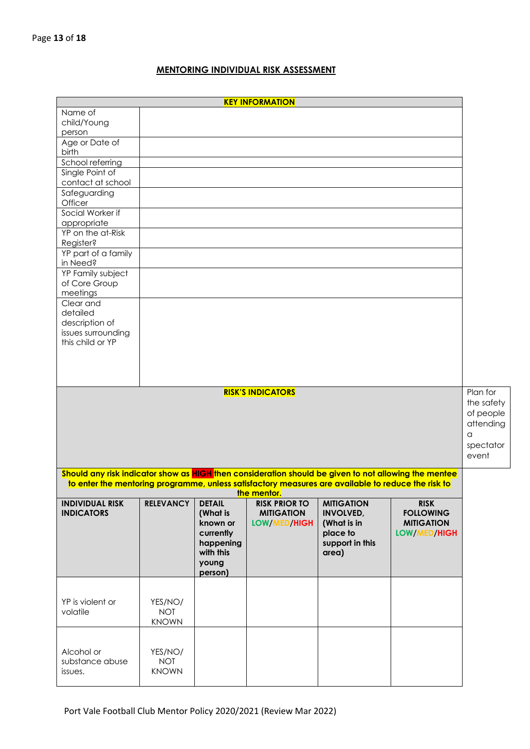# **MENTORING INDIVIDUAL RISK ASSESSMENT**

|                                                                                                      |                            |                       | <b>KEY INFORMATION</b>        |                                                                                                    |                                   |                                                                             |
|------------------------------------------------------------------------------------------------------|----------------------------|-----------------------|-------------------------------|----------------------------------------------------------------------------------------------------|-----------------------------------|-----------------------------------------------------------------------------|
| Name of                                                                                              |                            |                       |                               |                                                                                                    |                                   |                                                                             |
| child/Young                                                                                          |                            |                       |                               |                                                                                                    |                                   |                                                                             |
| person                                                                                               |                            |                       |                               |                                                                                                    |                                   |                                                                             |
| Age or Date of<br>birth                                                                              |                            |                       |                               |                                                                                                    |                                   |                                                                             |
| School referring                                                                                     |                            |                       |                               |                                                                                                    |                                   |                                                                             |
| Single Point of                                                                                      |                            |                       |                               |                                                                                                    |                                   |                                                                             |
| contact at school                                                                                    |                            |                       |                               |                                                                                                    |                                   |                                                                             |
| Safeguarding<br>Officer                                                                              |                            |                       |                               |                                                                                                    |                                   |                                                                             |
| Social Worker if                                                                                     |                            |                       |                               |                                                                                                    |                                   |                                                                             |
| appropriate                                                                                          |                            |                       |                               |                                                                                                    |                                   |                                                                             |
| YP on the at-Risk                                                                                    |                            |                       |                               |                                                                                                    |                                   |                                                                             |
| Register?                                                                                            |                            |                       |                               |                                                                                                    |                                   |                                                                             |
| YP part of a family<br>in Need?                                                                      |                            |                       |                               |                                                                                                    |                                   |                                                                             |
| YP Family subject                                                                                    |                            |                       |                               |                                                                                                    |                                   |                                                                             |
| of Core Group                                                                                        |                            |                       |                               |                                                                                                    |                                   |                                                                             |
| meetings                                                                                             |                            |                       |                               |                                                                                                    |                                   |                                                                             |
| Clear and                                                                                            |                            |                       |                               |                                                                                                    |                                   |                                                                             |
| detailed                                                                                             |                            |                       |                               |                                                                                                    |                                   |                                                                             |
| description of                                                                                       |                            |                       |                               |                                                                                                    |                                   |                                                                             |
| issues surrounding<br>this child or YP                                                               |                            |                       |                               |                                                                                                    |                                   |                                                                             |
|                                                                                                      |                            |                       |                               |                                                                                                    |                                   |                                                                             |
|                                                                                                      |                            |                       |                               |                                                                                                    |                                   |                                                                             |
|                                                                                                      |                            |                       |                               |                                                                                                    |                                   |                                                                             |
|                                                                                                      |                            |                       |                               |                                                                                                    |                                   |                                                                             |
| <b>RISK'S INDICATORS</b>                                                                             |                            |                       |                               |                                                                                                    |                                   | Plan for<br>the safety<br>of people<br>attending<br>a<br>spectator<br>event |
| Should any risk indicator show as HIGH then consideration should be given to not allowing the mentee |                            |                       |                               |                                                                                                    |                                   |                                                                             |
|                                                                                                      |                            |                       | <b>Example 11 the mentor.</b> | to enter the mentoring programme, unless satisfactory measures are available to reduce the risk to |                                   |                                                                             |
| <b>INDIVIDUAL RISK</b>                                                                               | <b>RELEVANCY</b>           | <b>DETAIL</b>         | <b>RISK PRIOR TO</b>          | <b>MITIGATION</b>                                                                                  | <b>RISK</b>                       |                                                                             |
| <b>INDICATORS</b>                                                                                    |                            | (What is              | <b>MITIGATION</b>             | <b>INVOLVED,</b>                                                                                   | <b>FOLLOWING</b>                  |                                                                             |
|                                                                                                      |                            | known or<br>currently | LOW/MED/HIGH                  | (What is in<br>place to                                                                            | <b>MITIGATION</b><br>LOW/MED/HIGH |                                                                             |
|                                                                                                      |                            | happening             |                               | support in this                                                                                    |                                   |                                                                             |
|                                                                                                      |                            | with this             |                               | area)                                                                                              |                                   |                                                                             |
|                                                                                                      |                            | young                 |                               |                                                                                                    |                                   |                                                                             |
|                                                                                                      |                            | person)               |                               |                                                                                                    |                                   |                                                                             |
|                                                                                                      |                            |                       |                               |                                                                                                    |                                   |                                                                             |
| YP is violent or                                                                                     | YES/NO/                    |                       |                               |                                                                                                    |                                   |                                                                             |
| volatile                                                                                             | <b>NOT</b>                 |                       |                               |                                                                                                    |                                   |                                                                             |
|                                                                                                      | <b>KNOWN</b>               |                       |                               |                                                                                                    |                                   |                                                                             |
|                                                                                                      |                            |                       |                               |                                                                                                    |                                   |                                                                             |
|                                                                                                      |                            |                       |                               |                                                                                                    |                                   |                                                                             |
| Alcohol or                                                                                           | YES/NO/                    |                       |                               |                                                                                                    |                                   |                                                                             |
| substance abuse<br>issues.                                                                           | <b>NOT</b><br><b>KNOWN</b> |                       |                               |                                                                                                    |                                   |                                                                             |
|                                                                                                      |                            |                       |                               |                                                                                                    |                                   |                                                                             |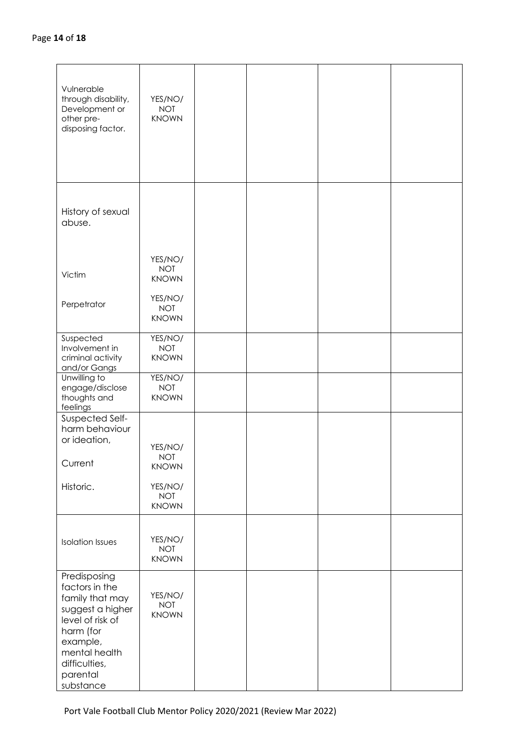| Vulnerable<br>through disability,<br>Development or<br>other pre-<br>disposing factor.                                                                                        | YES/NO/<br><b>NOT</b><br><b>KNOWN</b>                                          |  |  |
|-------------------------------------------------------------------------------------------------------------------------------------------------------------------------------|--------------------------------------------------------------------------------|--|--|
| History of sexual<br>abuse.                                                                                                                                                   |                                                                                |  |  |
| Victim<br>Perpetrator                                                                                                                                                         | YES/NO/<br><b>NOT</b><br><b>KNOWN</b><br>YES/NO/<br><b>NOT</b><br><b>KNOWN</b> |  |  |
| Suspected<br>Involvement in<br>criminal activity<br>and/or Gangs                                                                                                              | YES/NO/<br><b>NOT</b><br><b>KNOWN</b>                                          |  |  |
| Unwilling to<br>engage/disclose<br>thoughts and<br>feelings                                                                                                                   | YES/NO/<br><b>NOT</b><br><b>KNOWN</b>                                          |  |  |
| Suspected Self-<br>harm behaviour<br>or ideation,<br>Current                                                                                                                  | YES/NO/<br><b>NOT</b><br><b>KNOWN</b>                                          |  |  |
| Historic.                                                                                                                                                                     | YES/NO/<br><b>NOT</b><br><b>KNOWN</b>                                          |  |  |
| <b>Isolation Issues</b>                                                                                                                                                       | YES/NO/<br><b>NOT</b><br><b>KNOWN</b>                                          |  |  |
| Predisposing<br>factors in the<br>family that may<br>suggest a higher<br>level of risk of<br>harm (for<br>example,<br>mental health<br>difficulties,<br>parental<br>substance | YES/NO/<br><b>NOT</b><br><b>KNOWN</b>                                          |  |  |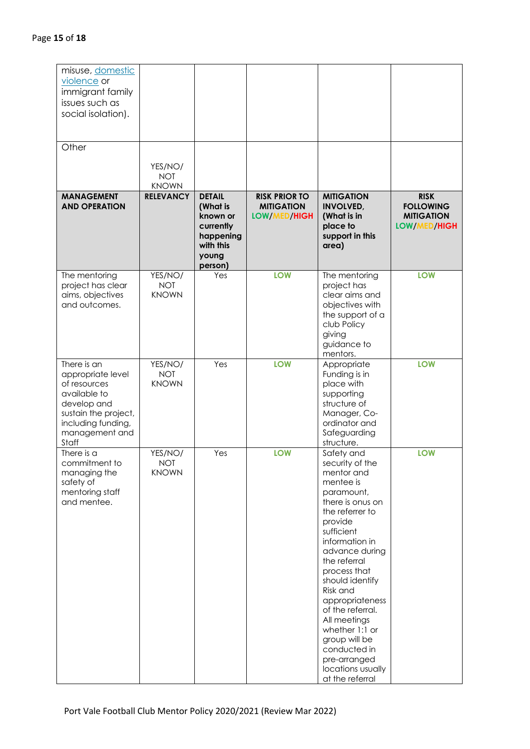| misuse, domestic<br>violence or<br>immigrant family<br>issues such as<br>social isolation).<br>Other                                                     |                                       |                                                                                                  |                                                           |                                                                                                                                                                                                                                                                                                                                                                                                             |                                                                      |
|----------------------------------------------------------------------------------------------------------------------------------------------------------|---------------------------------------|--------------------------------------------------------------------------------------------------|-----------------------------------------------------------|-------------------------------------------------------------------------------------------------------------------------------------------------------------------------------------------------------------------------------------------------------------------------------------------------------------------------------------------------------------------------------------------------------------|----------------------------------------------------------------------|
|                                                                                                                                                          | YES/NO/<br><b>NOT</b><br><b>KNOWN</b> |                                                                                                  |                                                           |                                                                                                                                                                                                                                                                                                                                                                                                             |                                                                      |
| <b>MANAGEMENT</b><br><b>AND OPERATION</b>                                                                                                                | <b>RELEVANCY</b>                      | <b>DETAIL</b><br>(What is<br>known or<br>currently<br>happening<br>with this<br>young<br>person) | <b>RISK PRIOR TO</b><br><b>MITIGATION</b><br>LOW/MED/HIGH | <b>MITIGATION</b><br><b>INVOLVED,</b><br>(What is in<br>place to<br>support in this<br>area)                                                                                                                                                                                                                                                                                                                | <b>RISK</b><br><b>FOLLOWING</b><br><b>MITIGATION</b><br>LOW/MED/HIGH |
| The mentoring<br>project has clear<br>aims, objectives<br>and outcomes.                                                                                  | YES/NO/<br><b>NOT</b><br><b>KNOWN</b> | Yes                                                                                              | LOW                                                       | The mentoring<br>project has<br>clear aims and<br>objectives with<br>the support of a<br>club Policy<br>giving<br>guidance to<br>mentors.                                                                                                                                                                                                                                                                   | <b>LOW</b>                                                           |
| There is an<br>appropriate level<br>of resources<br>available to<br>develop and<br>sustain the project,<br>including funding,<br>management and<br>Staff | YES/NO/<br><b>NOT</b><br><b>KNOWN</b> | Yes                                                                                              | LOW                                                       | Appropriate<br>Funding is in<br>place with<br>supporting<br>structure of<br>Manager, Co-<br>ordinator and<br>Safeguarding<br>structure.                                                                                                                                                                                                                                                                     | <b>LOW</b>                                                           |
| There is a<br>commitment to<br>managing the<br>safety of<br>mentoring staff<br>and mentee.                                                               | YES/NO/<br>NOT<br><b>KNOWN</b>        | Yes                                                                                              | <b>LOW</b>                                                | Safety and<br>security of the<br>mentor and<br>mentee is<br>paramount,<br>there is onus on<br>the referrer to<br>provide<br>sufficient<br>information in<br>advance during<br>the referral<br>process that<br>should identify<br>Risk and<br>appropriateness<br>of the referral.<br>All meetings<br>whether 1:1 or<br>group will be<br>conducted in<br>pre-arranged<br>locations usually<br>at the referral | <b>LOW</b>                                                           |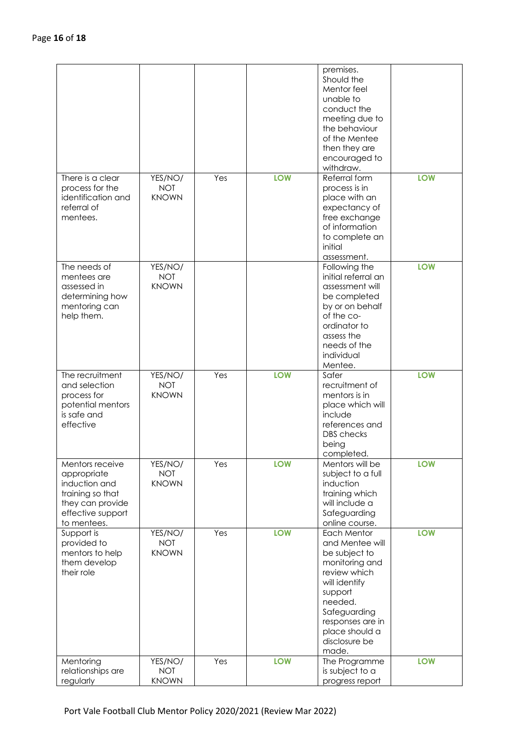| There is a clear                                                                                                            | YES/NO/                               | Yes | <b>LOW</b> | premises.<br>Should the<br>Mentor feel<br>unable to<br>conduct the<br>meeting due to<br>the behaviour<br>of the Mentee<br>then they are<br>encouraged to<br>withdraw.<br>Referral form                   | <b>LOW</b> |
|-----------------------------------------------------------------------------------------------------------------------------|---------------------------------------|-----|------------|----------------------------------------------------------------------------------------------------------------------------------------------------------------------------------------------------------|------------|
| process for the<br>identification and<br>referral of<br>mentees.                                                            | <b>NOT</b><br><b>KNOWN</b>            |     |            | process is in<br>place with an<br>expectancy of<br>free exchange<br>of information<br>to complete an<br>initial<br>assessment.                                                                           |            |
| The needs of<br>mentees are<br>assessed in<br>determining how<br>mentoring can<br>help them.                                | YES/NO/<br><b>NOT</b><br><b>KNOWN</b> |     |            | Following the<br>initial referral an<br>assessment will<br>be completed<br>by or on behalf<br>of the co-<br>ordinator to<br>assess the<br>needs of the<br>individual<br>Mentee.                          | <b>LOW</b> |
| The recruitment<br>and selection<br>process for<br>potential mentors<br>is safe and<br>effective                            | YES/NO/<br><b>NOT</b><br><b>KNOWN</b> | Yes | <b>LOW</b> | Safer<br>recruitment of<br>mentors is in<br>place which will<br>include<br>references and<br><b>DBS</b> checks<br>being<br>completed.                                                                    | <b>LOW</b> |
| Mentors receive<br>appropriate<br>induction and<br>training so that<br>they can provide<br>effective support<br>to mentees. | YES/NO/<br><b>NOT</b><br><b>KNOWN</b> | Yes | <b>LOW</b> | Mentors will be<br>subject to a full<br>induction<br>training which<br>will include a<br>Safeguarding<br>online course.                                                                                  | LOW        |
| Support is<br>provided to<br>mentors to help<br>them develop<br>their role                                                  | YES/NO/<br><b>NOT</b><br><b>KNOWN</b> | Yes | LOW        | Each Mentor<br>and Mentee will<br>be subject to<br>monitoring and<br>review which<br>will identify<br>support<br>needed.<br>Safeguarding<br>responses are in<br>place should a<br>disclosure be<br>made. | <b>LOW</b> |
| Mentoring<br>relationships are<br>regularly                                                                                 | YES/NO/<br><b>NOT</b><br><b>KNOWN</b> | Yes | LOW        | The Programme<br>is subject to a<br>progress report                                                                                                                                                      | <b>LOW</b> |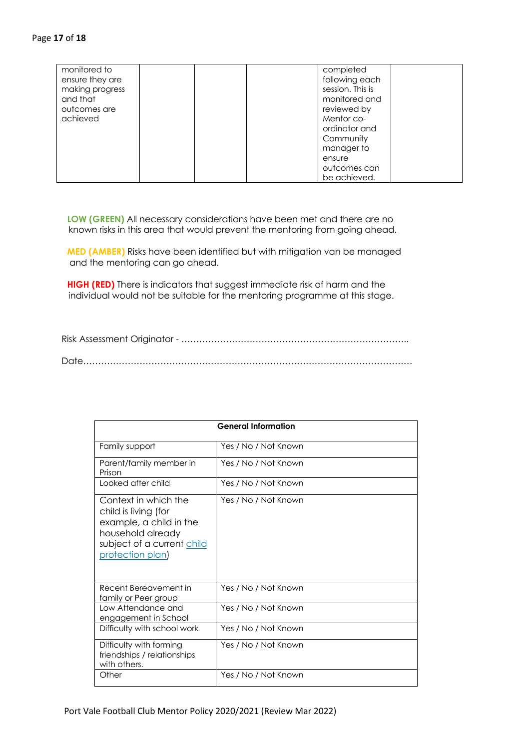| monitored to<br>ensure they are<br>making progress<br>and that<br>outcomes are<br>achieved | completed<br>following each<br>session. This is<br>monitored and<br>reviewed by<br>Mentor co-<br>ordinator and<br>Community<br>manager to<br>ensure |
|--------------------------------------------------------------------------------------------|-----------------------------------------------------------------------------------------------------------------------------------------------------|
|                                                                                            | outcomes can<br>be achieved.                                                                                                                        |

 **LOW (GREEN)** All necessary considerations have been met and there are no known risks in this area that would prevent the mentoring from going ahead.

 **MED (AMBER)** Risks have been identified but with mitigation van be managed and the mentoring can go ahead.

 **HIGH (RED)** There is indicators that suggest immediate risk of harm and the individual would not be suitable for the mentoring programme at this stage.

 Risk Assessment Originator - ………………………………………………………………….. Date…………………………………………………………………………………………………

| <b>General Information</b>                                                                                                                    |                      |  |  |
|-----------------------------------------------------------------------------------------------------------------------------------------------|----------------------|--|--|
| Family support                                                                                                                                | Yes / No / Not Known |  |  |
| Parent/family member in<br>Prison                                                                                                             | Yes / No / Not Known |  |  |
| Looked after child                                                                                                                            | Yes / No / Not Known |  |  |
| Context in which the<br>child is living (for<br>example, a child in the<br>household already<br>subject of a current child<br>protection plan | Yes / No / Not Known |  |  |
| Recent Bereavement in<br>family or Peer group                                                                                                 | Yes / No / Not Known |  |  |
| Low Attendance and<br>engagement in School                                                                                                    | Yes / No / Not Known |  |  |
| Difficulty with school work                                                                                                                   | Yes / No / Not Known |  |  |
| Difficulty with forming<br>friendships / relationships<br>with others.                                                                        | Yes / No / Not Known |  |  |
| Other                                                                                                                                         | Yes / No / Not Known |  |  |